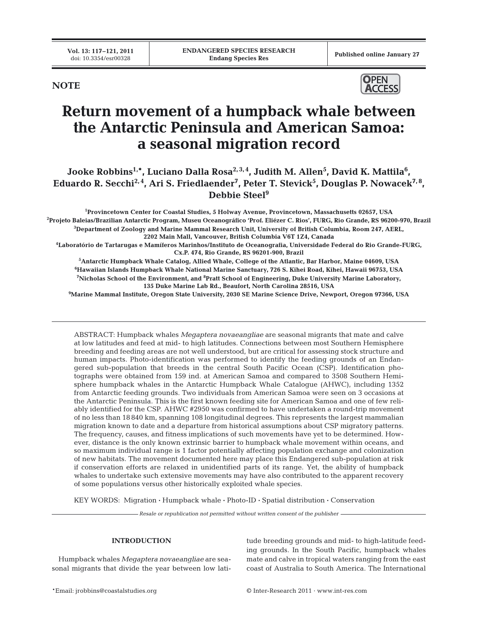Published online January 27

**NOTE**



# **Return movement of a humpback whale between the Antarctic Peninsula and American Samoa: a seasonal migration record**

Jooke Robbins<sup>1,</sup>\*, Luciano Dalla Rosa<sup>2,3,4</sup>, Judith M. Allen<sup>5</sup>, David K. Mattila<sup>6</sup>, **Eduardo R. Secchi2, 4, Ari S. Friedlaender7 , Peter T. Stevick5 , Douglas P. Nowacek7, 8, Debbie Steel9**

<sup>1</sup>Provincetown Center for Coastal Studies, 5 Holway Avenue, Provincetown, Massachusetts 02657, USA Provincetown Center for Coastal Studies, 5 Holway Avenue, Provincetown, Massachusetts 02657, USA<sup>.</sup><br>Projeto Baleias/Brazilian Antarctic Program, Museu Oceanográfico 'Prof. Eliézer C. Rios', FURG, Rio Grande, RS 96200-970, **3 Department of Zoology and Marine Mammal Research Unit, University of British Columbia, Room 247, AERL, 2202 Main Mall, Vancouver, British Columbia V6T 1Z4, Canada**

**4 Laboratório de Tartarugas e Mamíferos Marinhos/Instituto de Oceanografia, Universidade Federal do Rio Grande-FURG, Cx.P. 474, Rio Grande, RS 96201-900, Brazil**

 **Antarctic Humpback Whale Catalog, Allied Whale, College of the Atlantic, Bar Harbor, Maine 04609, USA Hawaiian Islands Humpback Whale National Marine Sanctuary, 726 S. Kihei Road, Kihei, Hawaii 96753, USA Nicholas School of the Environment, and 8 Pratt School of Engineering, Duke University Marine Laboratory, 135 Duke Marine Lab Rd., Beaufort, North Carolina 28516, USA**

**9 Marine Mammal Institute, Oregon State University, 2030 SE Marine Science Drive, Newport, Oregon 97366, USA**

ABSTRACT: Humpback whales *Megaptera novaeangliae* are seasonal migrants that mate and calve at low latitudes and feed at mid- to high latitudes. Connections between most Southern Hemisphere breeding and feeding areas are not well understood, but are critical for assessing stock structure and human impacts. Photo-identification was performed to identify the feeding grounds of an Endangered sub-population that breeds in the central South Pacific Ocean (CSP). Identification photographs were obtained from 159 ind. at American Samoa and compared to 3508 Southern Hemisphere humpback whales in the Antarctic Humpback Whale Catalogue (AHWC), including 1352 from Antarctic feeding grounds. Two individuals from American Samoa were seen on 3 occasions at the Antarctic Peninsula. This is the first known feeding site for American Samoa and one of few reliably identified for the CSP. AHWC #2950 was confirmed to have undertaken a round-trip movement of no less than 18 840 km, spanning 108 longitudinal degrees. This represents the largest mammalian migration known to date and a departure from historical assumptions about CSP migratory patterns. The frequency, causes, and fitness implications of such movements have yet to be determined. However, distance is the only known extrinsic barrier to humpback whale movement within oceans, and so maximum individual range is 1 factor potentially affecting population exchange and colonization of new habitats. The movement documented here may place this Endangered sub-population at risk if conservation efforts are relaxed in unidentified parts of its range. Yet, the ability of humpback whales to undertake such extensive movements may have also contributed to the apparent recovery of some populations versus other historically exploited whale species.

KEY WORDS: Migration **·** Humpback whale **·** Photo-ID **·** Spatial distribution **·** Conservation

*Resale or republication not permitted without written consent of the publisher*

## **INTRODUCTION**

Humpback whales *Megaptera novaeangliae* are seasonal migrants that divide the year between low latitude breeding grounds and mid- to high-latitude feeding grounds. In the South Pacific, humpback whales mate and calve in tropical waters ranging from the east coast of Australia to South America. The International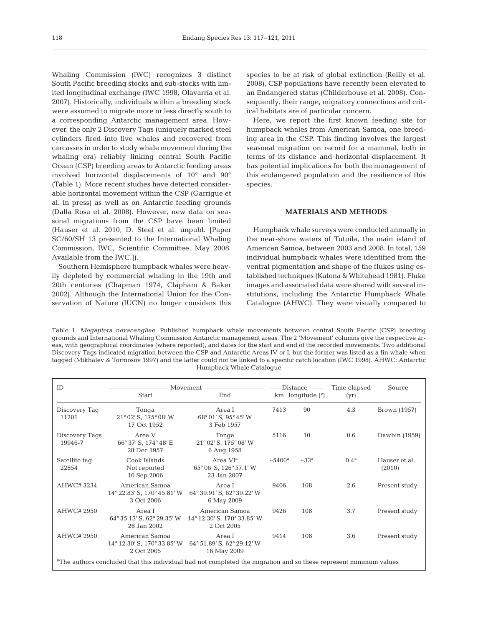Whaling Commission (IWC) recognizes 3 distinct South Pacific breeding stocks and sub-stocks with limited longitudinal exchange (IWC 1998, Olavarría et al. 2007). Historically, individuals within a breeding stock were assumed to migrate more or less directly south to a corresponding Antarctic management area. However, the only 2 Discovery Tags (uniquely marked steel cylinders fired into live whales and recovered from carcasses in order to study whale movement during the whaling era) reliably linking central South Pacific Ocean (CSP) breeding areas to Antarctic feeding areas involved horizontal displacements of 10° and 90° (Table 1). More recent studies have detected considerable horizontal movement within the CSP (Garrigue et al. in press) as well as on Antarctic feeding grounds (Dalla Rosa et al. 2008). However, new data on seasonal migrations from the CSP have been limited (Hauser et al. 2010, D. Steel et al. unpubl. [Paper SC/60/SH 13 presented to the International Whaling Commission, IWC, Scientific Committee, May 2008. Available from the IWC.]).

Southern Hemisphere humpback whales were heavily depleted by commercial whaling in the 19th and 20th centuries (Chapman 1974, Clapham & Baker 2002). Although the International Union for the Conservation of Nature (IUCN) no longer considers this

species to be at risk of global extinction (Reilly et al. 2008), CSP populations have recently been elevated to an Endangered status (Childerhouse et al. 2008). Consequently, their range, migratory connections and critical habitats are of particular concern.

Here, we report the first known feeding site for humpback whales from American Samoa, one breeding area in the CSP. This finding involves the largest seasonal migration on record for a mammal, both in terms of its distance and horizontal displacement. It has potential implications for both the management of this endangered population and the resilience of this species.

### **MATERIALS AND METHODS**

Humpback whale surveys were conducted annually in the near-shore waters of Tutuila, the main island of American Samoa, between 2003 and 2008. In total, 159 individual humpback whales were identified from the ventral pigmentation and shape of the flukes using established techniques (Katona & Whitehead 1981). Fluke images and associated data were shared with several institutions, including the Antarctic Humpback Whale Catalogue (AHWC). They were visually compared to

Table 1. *Megaptera novaeangliae.* Published humpback whale movements between central South Pacific (CSP) breeding grounds and International Whaling Commission Antarctic management areas. The 2 'Movement' columns give the respective areas, with geographical coordinates (where reported), and dates for the start and end of the recorded movements. Two additional Discovery Tags indicated migration between the CSP and Antarctic Areas IV or I, but the former was listed as a fin whale when tagged (Mikhalev & Tormosov 1997) and the latter could not be linked to a specific catch location (IWC 1998). AHWC: Antarctic Humpback Whale Catalogue

| ID                                                                                                                            | Movement                                                    |                                                                | $Distance$ —       |                     | Time elapsed     | Source                  |
|-------------------------------------------------------------------------------------------------------------------------------|-------------------------------------------------------------|----------------------------------------------------------------|--------------------|---------------------|------------------|-------------------------|
|                                                                                                                               | <b>Start</b>                                                | End                                                            | km longitude $(°)$ |                     | (yr)             |                         |
| Discovery Taq<br>11201                                                                                                        | Tonga<br>21° 02' S, 175° 08' W<br>17 Oct 1952               | Area I<br>68° 01' S, 95° 45' W<br>3 Feb 1957                   | 7413               | 90                  | 4.3              | Brown (1957)            |
| Discovery Tags<br>19946-7                                                                                                     | Area V<br>66° 37' S, 174° 48' E<br>28 Dec 1957              | Tonga<br>21° 02' S, 175° 08' W<br>6 Aug 1958                   | 5116               | 10                  | 0.6              | Dawbin (1959)           |
| Satellite tag<br>22854                                                                                                        | Cook Islands<br>Not reported<br>10 Sep 2006                 | Area VI <sup>a</sup><br>65° 06' S, 126° 57.1' W<br>23 Jan 2007 | $~10^{-5}$         | $~233$ <sup>a</sup> | 0.4 <sup>a</sup> | Hauser et al.<br>(2010) |
| AHWC#3234                                                                                                                     | American Samoa<br>14° 22.83' S, 170° 45.81' W<br>3 Oct 2006 | Area I<br>64° 39.91' S, 62° 39.22' W<br>6 May 2009             | 9406               | 108                 | 2.6              | Present study           |
| AHWC# 2950                                                                                                                    | Area I<br>64° 35.13' S, 62° 29.35' W<br>28 Jan 2002         | American Samoa<br>14° 12.30' S, 170° 33.85' W<br>2 Oct 2005    | 9426               | 108                 | 3.7              | Present study           |
| AHWC# 2950                                                                                                                    | American Samoa<br>14° 12.30' S, 170° 33.85' W<br>2 Oct 2005 | Area I<br>64° 51.89' S, 62° 29.12' W<br>16 May 2009            | 9414               | 108                 | 3.6              | Present study           |
| <sup>a</sup> The authors concluded that this individual had not completed the migration and so these represent minimum values |                                                             |                                                                |                    |                     |                  |                         |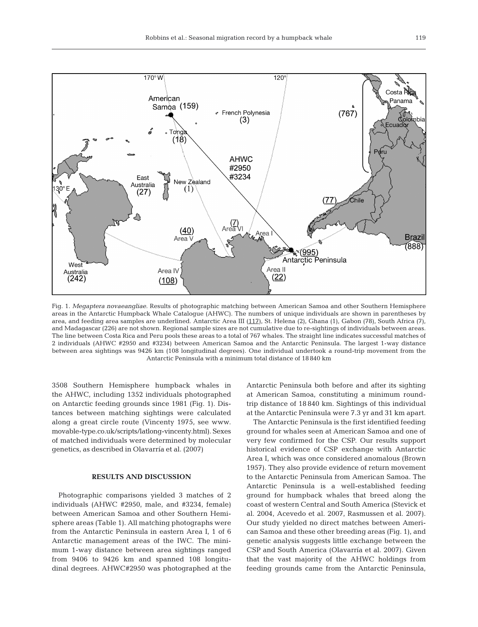

Fig. 1. *Megaptera novaeangliae.* Results of photographic matching between American Samoa and other Southern Hemisphere areas in the Antarctic Humpback Whale Catalogue (AHWC). The numbers of unique individuals are shown in parentheses by area, and feeding area samples are underlined. Antarctic Area III (117), St. Helena (2), Ghana (1), Gabon (78), South Africa (7), and Madagascar (226) are not shown. Regional sample sizes are not cumulative due to re-sightings of individuals between areas. The line between Costa Rica and Peru pools these areas to a total of 767 whales. The straight line indicates successful matches of 2 individuals (AHWC #2950 and #3234) between American Samoa and the Antarctic Peninsula. The largest 1-way distance between area sightings was 9426 km (108 longitudinal degrees). One individual undertook a round-trip movement from the Antarctic Peninsula with a minimum total distance of 18 840 km

3508 Southern Hemisphere humpback whales in the AHWC, including 1352 individuals photographed on Antarctic feeding grounds since 1981 (Fig. 1). Distances between matching sightings were calculated along a great circle route (Vincenty 1975, see www. movable-type.co.uk/scripts/latlong-vincenty.html). Sexes of matched individuals were determined by molecular genetics, as described in Olavarría et al. (2007)

## **RESULTS AND DISCUSSION**

Photographic comparisons yielded 3 matches of 2 individuals (AHWC #2950, male, and #3234, female) between American Samoa and other Southern Hemisphere areas (Table 1). All matching photographs were from the Antarctic Peninsula in eastern Area I, 1 of 6 Antarctic management areas of the IWC. The minimum 1-way distance between area sightings ranged from 9406 to 9426 km and spanned 108 longitudinal degrees. AHWC#2950 was photographed at the Antarctic Peninsula both before and after its sighting at American Samoa, constituting a minimum roundtrip distance of 18 840 km. Sightings of this individual at the Antarctic Peninsula were 7.3 yr and 31 km apart.

The Antarctic Peninsula is the first identified feeding ground for whales seen at American Samoa and one of very few confirmed for the CSP. Our results support historical evidence of CSP exchange with Antarctic Area I, which was once considered anomalous (Brown 1957). They also provide evidence of return movement to the Antarctic Peninsula from American Samoa. The Antarctic Peninsula is a well-established feeding ground for humpback whales that breed along the coast of western Central and South America (Stevick et al. 2004, Acevedo et al. 2007, Rasmussen et al. 2007). Our study yielded no direct matches between American Samoa and these other breeding areas (Fig. 1), and genetic analysis suggests little exchange between the CSP and South America (Olavarría et al. 2007). Given that the vast majority of the AHWC holdings from feeding grounds came from the Antarctic Peninsula,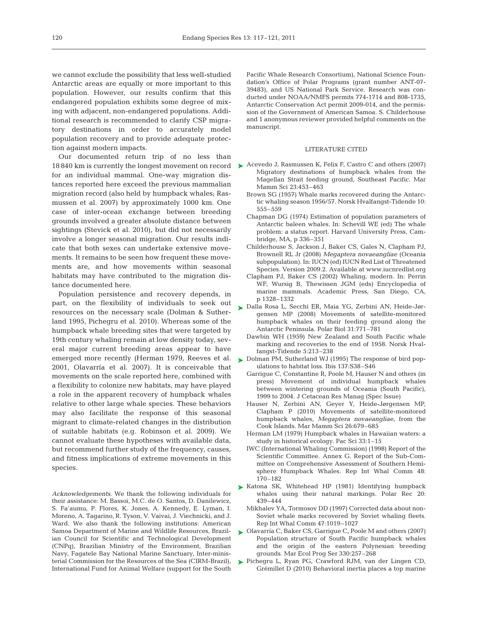we cannot exclude the possibility that less well-studied Antarctic areas are equally or more important to this population. However, our results confirm that this endangered population exhibits some degree of mixing with adjacent, non-endangered populations. Additional research is recommended to clarify CSP migratory destinations in order to accurately model population recovery and to provide adequate protection against modern impacts.

Our documented return trip of no less than for an individual mammal. One-way migration distances reported here exceed the previous mammalian migration record (also held by humpback whales; Rasmussen et al. 2007) by approximately 1000 km. One case of inter-ocean exchange between breeding grounds involved a greater absolute distance between sightings (Stevick et al. 2010), but did not necessarily involve a longer seasonal migration. Our results indicate that both sexes can undertake extensive movements. It remains to be seen how frequent these movements are, and how movements within seasonal habitats may have contributed to the migration distance documented here.

Population persistence and recovery depends, in part, on the flexibility of individuals to seek out resources on the necessary scale (Dolman & Sutherland 1995, Pichegru et al. 2010). Whereas some of the humpback whale breeding sites that were targeted by 19th century whaling remain at low density today, several major current breeding areas appear to have emerged more recently (Herman 1979, Reeves et al. 2001, Olavarría et al. 2007). It is conceivable that movements on the scale reported here, combined with a flexibility to colonize new habitats, may have played a role in the apparent recovery of humpback whales relative to other large whale species. These behaviors may also facilitate the response of this seasonal migrant to climate-related changes in the distribution of suitable habitats (e.g. Robinson et al. 2009). We cannot evaluate these hypotheses with available data, but recommend further study of the frequency, causes, and fitness implications of extreme movements in this species.

*Acknowledgements*. We thank the following individuals for their assistance: M. Bassoi, M.C. de O. Santos, D. Danilewicz, S. Fa'aumu, P. Flores, K. Jones, A. Kennedy, E. Lyman, I. Moreno, A. Tagarino, R. Tyson, V. Vaivai, J. Viechnicki, and J. Ward. We also thank the following institutions: American Samoa Department of Marine and Wildlife Resources, Brazilian Council for Scientific and Technological Development (CNPq), Brazilian Ministry of the Environment, Brazilian Navy, Fagatele Bay National Marine Sanctuary, Inter-ministerial Commission for the Resources of the Sea (CIRM-Brazil), International Fund for Animal Welfare (support for the South

Pacific Whale Research Consortium), National Science Foundation's Office of Polar Programs (grant number ANT-07- 39483), and US National Park Service. Research was conducted under NOAA/NMFS permits 774-1714 and 808-1735, Antarctic Conservation Act permit 2009-014, and the permission of the Government of American Samoa. S. Childerhouse and 1 anonymous reviewer provided helpful comments on the manuscript.

#### LITERATURE CITED

- 18 840 km is currently the longest movement on record  $\triangleright$  Acevedo J, Rasmussen K, Felix F, Castro C and others (2007) Migratory destinations of humpback whales from the Magellan Strait feeding ground, Southeast Pacific. Mar Mamm Sci 23:453–463
	- Brown SG (1957) Whale marks recovered during the Antarctic whaling season 1956/57. Norsk Hvalfangst-Tidende 10: 555–559
	- Chapman DG (1974) Estimation of population parameters of Antarctic baleen whales. In: Schevill WE (ed) The whale problem: a status report. Harvard University Press, Cambridge, MA, p 336–351
	- Childerhouse S, Jackson J, Baker CS, Gales N, Clapham PJ, Brownell RL Jr (2008) *Megaptera novaeangliae* (Oceania subpopulation). In: IUCN (ed) IUCN Red List of Threatened Species*.* Version 2009.2. Available at www.iucnredlist.org
	- Clapham PJ, Baker CS (2002) Whaling, modern. In: Perrin WF, Wursig B, Thewissen JGM (eds) Encyclopedia of marine mammals. Academic Press, San Diego, CA, p 1328–1332
	- ► Dalla Rosa L, Secchi ER, Maia YG, Zerbini AN, Heide-Jørgensen MP (2008) Movements of satellite-monitored humpback whales on their feeding ground along the Antarctic Peninsula. Polar Biol 31:771–781
		- Dawbin WH (1959) New Zealand and South Pacific whale marking and recoveries to the end of 1958. Norsk Hvalfangst-Tidende 5:213–238
	- ► Dolman PM, Sutherland WJ (1995) The response of bird populations to habitat loss. Ibis 137:S38–S46
		- Garrigue C, Constantine R, Poole M, Hauser N and others (in press) Movement of individual humpback whales between wintering grounds of Oceania (South Pacific), 1999 to 2004. J Cetacean Res Manag (Spec Issue)
		- Hauser N, Zerbini AN, Geyer Y, Heide-Jørgensen MP, Clapham P (2010) Movements of satellite-monitored humpback whales, *Megaptera novaeangliae*, from the Cook Islands. Mar Mamm Sci 26:679–685
		- Herman LM (1979) Humpback whales in Hawaiian waters: a study in historical ecology. Pac Sci 33:1–15
		- IWC (International Whaling Commission) (1998) Report of the Scientific Committee. Annex G. Report of the Sub-Committee on Comprehensive Assessment of Southern Hemisphere Humpback Whales. Rep Int Whal Comm 48: 170–182
	- ► Katona SK, Whitehead HP (1981) Identifying humpback whales using their natural markings. Polar Rec 20: 439–444
		- Mikhalev YA, Tormosov DD (1997) Corrected data about non-Soviet whale marks recovered by Soviet whaling fleets. Rep Int Whal Comm 47:1019–1027
	- ► Olavarría C, Baker CS, Garrigue C, Poole M and others (2007) Population structure of South Pacific humpback whales and the origin of the eastern Polynesian breeding grounds. Mar Ecol Prog Ser 330:257–268
	- Pichegru L, Ryan PG, Crawford RJM, van der Lingen CD, ➤Grémillet D (2010) Behavioral inertia places a top marine